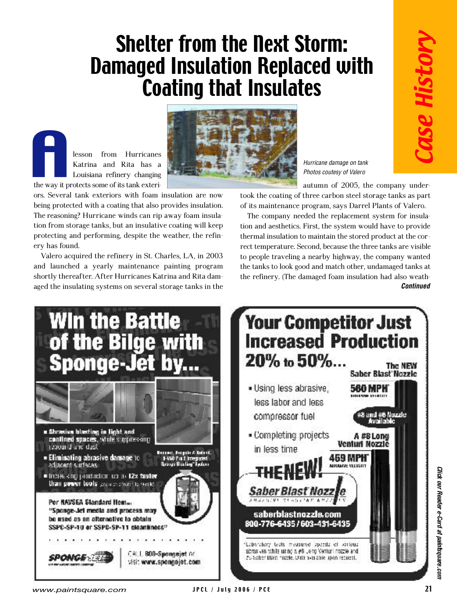## Shelter from the Next Storm: Damaged Insulation Replaced with Coating that Insulates

lesson from Hurricanes Katrina and Rita has a Louisiana refinery changing the way it protects some of its tank exteri-**A**<br>the way it pr

ery has found.

ors. Several tank exteriors with foam insulation are now being protected with a coating that also provides insulation. The reasoning? Hurricane winds can rip away foam insulation from storage tanks, but an insulative coating will keep protecting and performing, despite the weather, the refin-

Valero acquired the refinery in St. Charles, LA, in 2003 and launched a yearly maintenance painting program shortly thereafter. After Hurricanes Katrina and Rita damaged the insulating systems on several storage tanks in the



*Hurricane damage on tank Photos coutesy of Valero*

autumn of 2005, the company under-

took the coating of three carbon steel storage tanks as part of its maintenance program, says Darrel Plants of Valero.

The company needed the replacement system for insulation and aesthetics. First, the system would have to provide thermal insulation to maintain the stored product at the correct temperature. Second, because the three tanks are visible to people traveling a nearby highway, the company wanted the tanks to look good and match other, undamaged tanks at the refinery. (The damaged foam insulation had also weath-*Continued*



*www.paintsquare.com* JPCL / July 2006 / PCE 21

Click our Reader e-Card at paintsquare.con